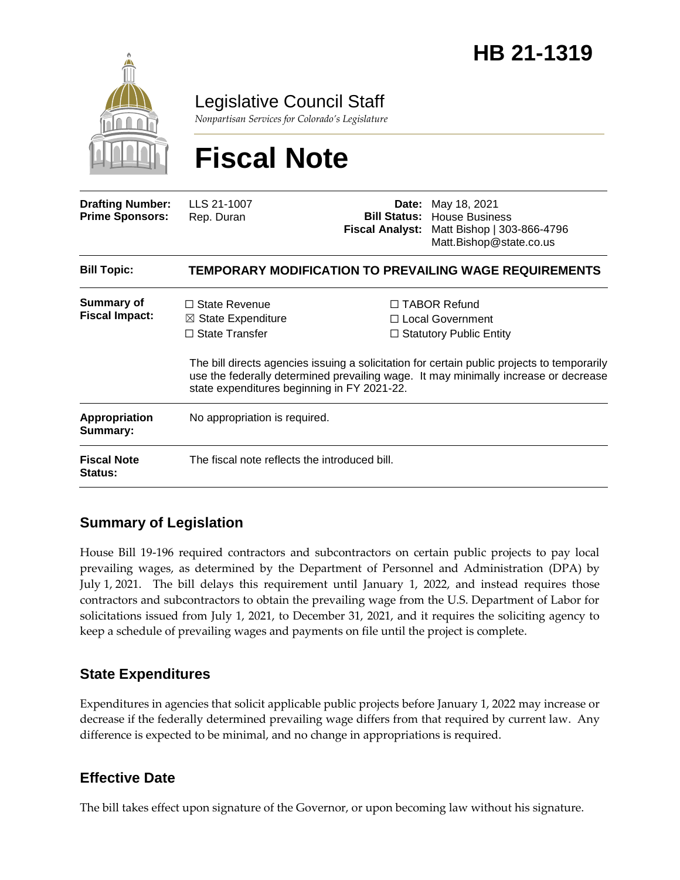

Legislative Council Staff

*Nonpartisan Services for Colorado's Legislature*

# **Fiscal Note**

| <b>Drafting Number:</b><br><b>Prime Sponsors:</b> | LLS 21-1007<br>Rep. Duran                                                                                                     | Date:<br><b>Fiscal Analyst:</b> | May 18, 2021<br><b>Bill Status: House Business</b><br>Matt Bishop   303-866-4796<br>Matt.Bishop@state.co.us                                                                                                                                                       |  |
|---------------------------------------------------|-------------------------------------------------------------------------------------------------------------------------------|---------------------------------|-------------------------------------------------------------------------------------------------------------------------------------------------------------------------------------------------------------------------------------------------------------------|--|
| <b>Bill Topic:</b>                                | TEMPORARY MODIFICATION TO PREVAILING WAGE REQUIREMENTS                                                                        |                                 |                                                                                                                                                                                                                                                                   |  |
| Summary of<br><b>Fiscal Impact:</b>               | $\Box$ State Revenue<br>$\boxtimes$ State Expenditure<br>$\Box$ State Transfer<br>state expenditures beginning in FY 2021-22. |                                 | $\Box$ TABOR Refund<br>□ Local Government<br>$\Box$ Statutory Public Entity<br>The bill directs agencies issuing a solicitation for certain public projects to temporarily<br>use the federally determined prevailing wage. It may minimally increase or decrease |  |
| <b>Appropriation</b><br>Summary:                  | No appropriation is required.                                                                                                 |                                 |                                                                                                                                                                                                                                                                   |  |
| <b>Fiscal Note</b><br><b>Status:</b>              | The fiscal note reflects the introduced bill.                                                                                 |                                 |                                                                                                                                                                                                                                                                   |  |

## **Summary of Legislation**

House Bill 19-196 required contractors and subcontractors on certain public projects to pay local prevailing wages, as determined by the Department of Personnel and Administration (DPA) by July 1, 2021. The bill delays this requirement until January 1, 2022, and instead requires those contractors and subcontractors to obtain the prevailing wage from the U.S. Department of Labor for solicitations issued from July 1, 2021, to December 31, 2021, and it requires the soliciting agency to keep a schedule of prevailing wages and payments on file until the project is complete.

### **State Expenditures**

Expenditures in agencies that solicit applicable public projects before January 1, 2022 may increase or decrease if the federally determined prevailing wage differs from that required by current law. Any difference is expected to be minimal, and no change in appropriations is required.

### **Effective Date**

The bill takes effect upon signature of the Governor, or upon becoming law without his signature.